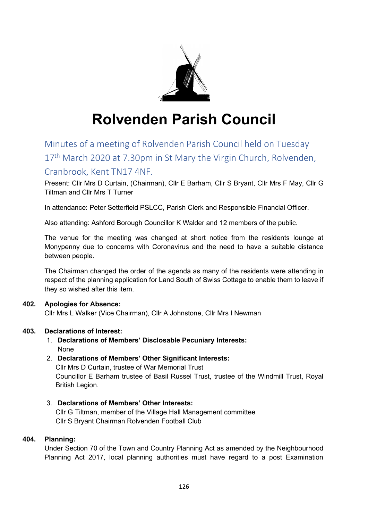

# **Rolvenden Parish Council**

## Minutes of a meeting of Rolvenden Parish Council held on Tuesday 17<sup>th</sup> March 2020 at 7.30pm in St Mary the Virgin Church, Rolvenden,

## Cranbrook, Kent TN17 4NF.

Present: Cllr Mrs D Curtain, (Chairman), Cllr E Barham, Cllr S Bryant, Cllr Mrs F May, Cllr G Tiltman and Cllr Mrs T Turner

In attendance: Peter Setterfield PSLCC, Parish Clerk and Responsible Financial Officer.

Also attending: Ashford Borough Councillor K Walder and 12 members of the public.

The venue for the meeting was changed at short notice from the residents lounge at Monypenny due to concerns with Coronavirus and the need to have a suitable distance between people.

The Chairman changed the order of the agenda as many of the residents were attending in respect of the planning application for Land South of Swiss Cottage to enable them to leave if they so wished after this item.

#### **402. Apologies for Absence:**

Cllr Mrs L Walker (Vice Chairman), Cllr A Johnstone, Cllr Mrs I Newman

#### **403. Declarations of Interest:**

1. **Declarations of Members' Disclosable Pecuniary Interests:** None

#### 2. **Declarations of Members' Other Significant Interests:**

Cllr Mrs D Curtain, trustee of War Memorial Trust Councillor E Barham trustee of Basil Russel Trust, trustee of the Windmill Trust, Royal British Legion.

3. **Declarations of Members' Other Interests:** Cllr G Tiltman, member of the Village Hall Management committee Cllr S Bryant Chairman Rolvenden Football Club

#### **404. Planning:**

Under Section 70 of the Town and Country Planning Act as amended by the Neighbourhood Planning Act 2017, local planning authorities must have regard to a post Examination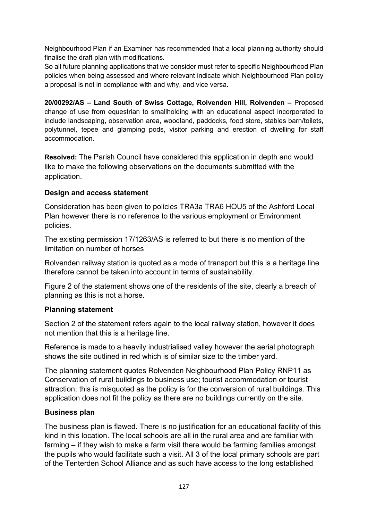Neighbourhood Plan if an Examiner has recommended that a local planning authority should finalise the draft plan with modifications.

So all future planning applications that we consider must refer to specific Neighbourhood Plan policies when being assessed and where relevant indicate which Neighbourhood Plan policy a proposal is not in compliance with and why, and vice versa.

**20/00292/AS – Land South of Swiss Cottage, Rolvenden Hill, Rolvenden –** Proposed change of use from equestrian to smallholding with an educational aspect incorporated to include landscaping, observation area, woodland, paddocks, food store, stables barn/toilets, polytunnel, tepee and glamping pods, visitor parking and erection of dwelling for staff accommodation.

**Resolved:** The Parish Council have considered this application in depth and would like to make the following observations on the documents submitted with the application.

## **Design and access statement**

Consideration has been given to policies TRA3a TRA6 HOU5 of the Ashford Local Plan however there is no reference to the various employment or Environment policies.

The existing permission 17/1263/AS is referred to but there is no mention of the limitation on number of horses

Rolvenden railway station is quoted as a mode of transport but this is a heritage line therefore cannot be taken into account in terms of sustainability.

Figure 2 of the statement shows one of the residents of the site, clearly a breach of planning as this is not a horse.

## **Planning statement**

Section 2 of the statement refers again to the local railway station, however it does not mention that this is a heritage line.

Reference is made to a heavily industrialised valley however the aerial photograph shows the site outlined in red which is of similar size to the timber yard.

The planning statement quotes Rolvenden Neighbourhood Plan Policy RNP11 as Conservation of rural buildings to business use; tourist accommodation or tourist attraction, this is misquoted as the policy is for the conversion of rural buildings. This application does not fit the policy as there are no buildings currently on the site.

## **Business plan**

The business plan is flawed. There is no justification for an educational facility of this kind in this location. The local schools are all in the rural area and are familiar with farming – if they wish to make a farm visit there would be farming families amongst the pupils who would facilitate such a visit. All 3 of the local primary schools are part of the Tenterden School Alliance and as such have access to the long established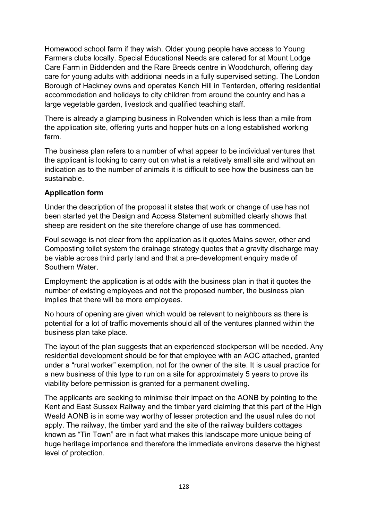Homewood school farm if they wish. Older young people have access to Young Farmers clubs locally. Special Educational Needs are catered for at Mount Lodge Care Farm in Biddenden and the Rare Breeds centre in Woodchurch, offering day care for young adults with additional needs in a fully supervised setting. The London Borough of Hackney owns and operates Kench Hill in Tenterden, offering residential accommodation and holidays to city children from around the country and has a large vegetable garden, livestock and qualified teaching staff.

There is already a glamping business in Rolvenden which is less than a mile from the application site, offering yurts and hopper huts on a long established working farm.

The business plan refers to a number of what appear to be individual ventures that the applicant is looking to carry out on what is a relatively small site and without an indication as to the number of animals it is difficult to see how the business can be sustainable.

## **Application form**

Under the description of the proposal it states that work or change of use has not been started yet the Design and Access Statement submitted clearly shows that sheep are resident on the site therefore change of use has commenced.

Foul sewage is not clear from the application as it quotes Mains sewer, other and Composting toilet system the drainage strategy quotes that a gravity discharge may be viable across third party land and that a pre-development enquiry made of Southern Water.

Employment: the application is at odds with the business plan in that it quotes the number of existing employees and not the proposed number, the business plan implies that there will be more employees.

No hours of opening are given which would be relevant to neighbours as there is potential for a lot of traffic movements should all of the ventures planned within the business plan take place.

The layout of the plan suggests that an experienced stockperson will be needed. Any residential development should be for that employee with an AOC attached, granted under a "rural worker" exemption, not for the owner of the site. It is usual practice for a new business of this type to run on a site for approximately 5 years to prove its viability before permission is granted for a permanent dwelling.

The applicants are seeking to minimise their impact on the AONB by pointing to the Kent and East Sussex Railway and the timber yard claiming that this part of the High Weald AONB is in some way worthy of lesser protection and the usual rules do not apply. The railway, the timber yard and the site of the railway builders cottages known as "Tin Town" are in fact what makes this landscape more unique being of huge heritage importance and therefore the immediate environs deserve the highest level of protection.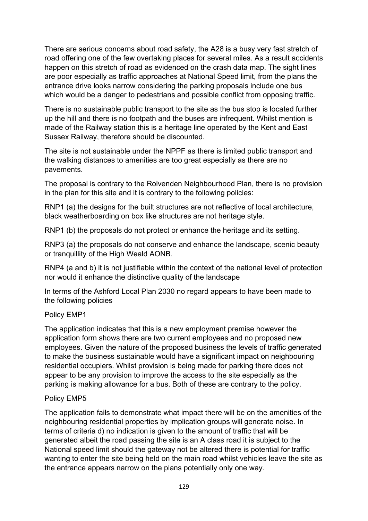There are serious concerns about road safety, the A28 is a busy very fast stretch of road offering one of the few overtaking places for several miles. As a result accidents happen on this stretch of road as evidenced on the crash data map. The sight lines are poor especially as traffic approaches at National Speed limit, from the plans the entrance drive looks narrow considering the parking proposals include one bus which would be a danger to pedestrians and possible conflict from opposing traffic.

There is no sustainable public transport to the site as the bus stop is located further up the hill and there is no footpath and the buses are infrequent. Whilst mention is made of the Railway station this is a heritage line operated by the Kent and East Sussex Railway, therefore should be discounted.

The site is not sustainable under the NPPF as there is limited public transport and the walking distances to amenities are too great especially as there are no pavements.

The proposal is contrary to the Rolvenden Neighbourhood Plan, there is no provision in the plan for this site and it is contrary to the following policies:

RNP1 (a) the designs for the built structures are not reflective of local architecture, black weatherboarding on box like structures are not heritage style.

RNP1 (b) the proposals do not protect or enhance the heritage and its setting.

RNP3 (a) the proposals do not conserve and enhance the landscape, scenic beauty or tranquillity of the High Weald AONB.

RNP4 (a and b) it is not justifiable within the context of the national level of protection nor would it enhance the distinctive quality of the landscape

In terms of the Ashford Local Plan 2030 no regard appears to have been made to the following policies

## Policy EMP1

The application indicates that this is a new employment premise however the application form shows there are two current employees and no proposed new employees. Given the nature of the proposed business the levels of traffic generated to make the business sustainable would have a significant impact on neighbouring residential occupiers. Whilst provision is being made for parking there does not appear to be any provision to improve the access to the site especially as the parking is making allowance for a bus. Both of these are contrary to the policy.

## Policy EMP5

The application fails to demonstrate what impact there will be on the amenities of the neighbouring residential properties by implication groups will generate noise. In terms of criteria d) no indication is given to the amount of traffic that will be generated albeit the road passing the site is an A class road it is subject to the National speed limit should the gateway not be altered there is potential for traffic wanting to enter the site being held on the main road whilst vehicles leave the site as the entrance appears narrow on the plans potentially only one way.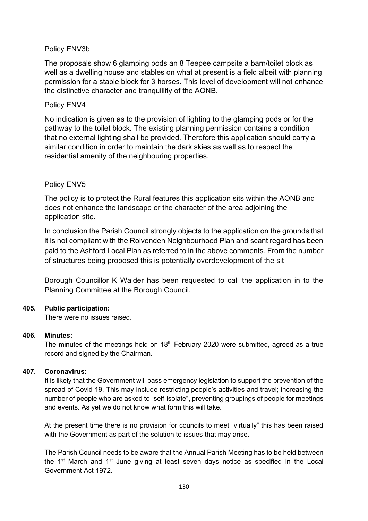#### Policy ENV3b

The proposals show 6 glamping pods an 8 Teepee campsite a barn/toilet block as well as a dwelling house and stables on what at present is a field albeit with planning permission for a stable block for 3 horses. This level of development will not enhance the distinctive character and tranquillity of the AONB.

#### Policy ENV4

No indication is given as to the provision of lighting to the glamping pods or for the pathway to the toilet block. The existing planning permission contains a condition that no external lighting shall be provided. Therefore this application should carry a similar condition in order to maintain the dark skies as well as to respect the residential amenity of the neighbouring properties.

#### Policy ENV5

The policy is to protect the Rural features this application sits within the AONB and does not enhance the landscape or the character of the area adjoining the application site.

In conclusion the Parish Council strongly objects to the application on the grounds that it is not compliant with the Rolvenden Neighbourhood Plan and scant regard has been paid to the Ashford Local Plan as referred to in the above comments. From the number of structures being proposed this is potentially overdevelopment of the sit

Borough Councillor K Walder has been requested to call the application in to the Planning Committee at the Borough Council.

#### **405. Public participation:**

There were no issues raised.

#### **406. Minutes:**

The minutes of the meetings held on  $18<sup>th</sup>$  February 2020 were submitted, agreed as a true record and signed by the Chairman.

#### **407. Coronavirus:**

It is likely that the Government will pass emergency legislation to support the prevention of the spread of Covid 19. This may include restricting people's activities and travel; increasing the number of people who are asked to "self-isolate", preventing groupings of people for meetings and events. As yet we do not know what form this will take.

At the present time there is no provision for councils to meet "virtually" this has been raised with the Government as part of the solution to issues that may arise.

The Parish Council needs to be aware that the Annual Parish Meeting has to be held between the  $1<sup>st</sup>$  March and  $1<sup>st</sup>$  June giving at least seven days notice as specified in the Local Government Act 1972.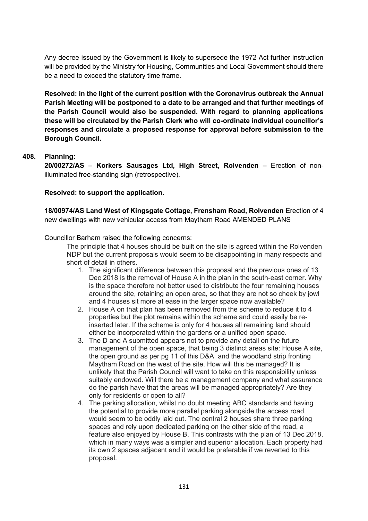Any decree issued by the Government is likely to supersede the 1972 Act further instruction will be provided by the Ministry for Housing, Communities and Local Government should there be a need to exceed the statutory time frame.

**Resolved: in the light of the current position with the Coronavirus outbreak the Annual Parish Meeting will be postponed to a date to be arranged and that further meetings of the Parish Council would also be suspended. With regard to planning applications these will be circulated by the Parish Clerk who will co-ordinate individual councillor's responses and circulate a proposed response for approval before submission to the Borough Council.**

#### **408. Planning:**

**20/00272/AS – Korkers Sausages Ltd, High Street, Rolvenden –** Erection of nonilluminated free-standing sign (retrospective).

#### **Resolved: to support the application.**

**18/00974/AS Land West of Kingsgate Cottage, Frensham Road, Rolvenden** Erection of 4 new dwellings with new vehicular access from Maytham Road AMENDED PLANS

Councillor Barham raised the following concerns:

The principle that 4 houses should be built on the site is agreed within the Rolvenden NDP but the current proposals would seem to be disappointing in many respects and short of detail in others.

- 1. The significant difference between this proposal and the previous ones of 13 Dec 2018 is the removal of House A in the plan in the south-east corner. Why is the space therefore not better used to distribute the four remaining houses around the site, retaining an open area, so that they are not so cheek by jowl and 4 houses sit more at ease in the larger space now available?
- 2. House A on that plan has been removed from the scheme to reduce it to 4 properties but the plot remains within the scheme and could easily be reinserted later. If the scheme is only for 4 houses all remaining land should either be incorporated within the gardens or a unified open space.
- 3. The D and A submitted appears not to provide any detail on the future management of the open space, that being 3 distinct areas site: House A site, the open ground as per pg 11 of this D&A and the woodland strip fronting Maytham Road on the west of the site. How will this be managed? It is unlikely that the Parish Council will want to take on this responsibility unless suitably endowed. Will there be a management company and what assurance do the parish have that the areas will be managed appropriately? Are they only for residents or open to all?
- 4. The parking allocation, whilst no doubt meeting ABC standards and having the potential to provide more parallel parking alongside the access road, would seem to be oddly laid out. The central 2 houses share three parking spaces and rely upon dedicated parking on the other side of the road, a feature also enjoyed by House B. This contrasts with the plan of 13 Dec 2018, which in many ways was a simpler and superior allocation. Each property had its own 2 spaces adjacent and it would be preferable if we reverted to this proposal.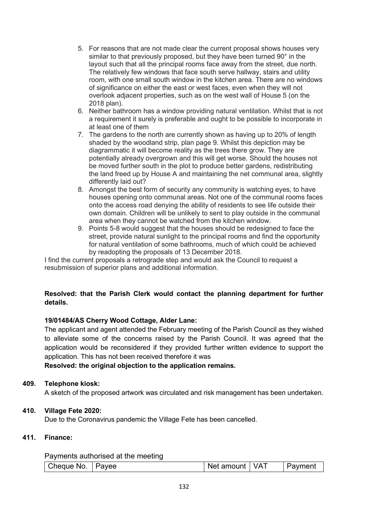- 5. For reasons that are not made clear the current proposal shows houses very similar to that previously proposed, but they have been turned 90° in the layout such that all the principal rooms face away from the street, due north. The relatively few windows that face south serve hallway, stairs and utility room, with one small south window in the kitchen area. There are no windows of significance on either the east or west faces, even when they will not overlook adjacent properties, such as on the west wall of House 5 (on the 2018 plan).
- 6. Neither bathroom has a window providing natural ventilation. Whilst that is not a requirement it surely is preferable and ought to be possible to incorporate in at least one of them
- 7. The gardens to the north are currently shown as having up to 20% of length shaded by the woodland strip, plan page 9. Whilst this depiction may be diagrammatic it will become reality as the trees there grow. They are potentially already overgrown and this will get worse. Should the houses not be moved further south in the plot to produce better gardens, redistributing the land freed up by House A and maintaining the net communal area, slightly differently laid out?
- 8. Amongst the best form of security any community is watching eyes, to have houses opening onto communal areas. Not one of the communal rooms faces onto the access road denying the ability of residents to see life outside their own domain. Children will be unlikely to sent to play outside in the communal area when they cannot be watched from the kitchen window.
- 9. Points 5-8 would suggest that the houses should be redesigned to face the street, provide natural sunlight to the principal rooms and find the opportunity for natural ventilation of some bathrooms, much of which could be achieved by readopting the proposals of 13 December 2018.

I find the current proposals a retrograde step and would ask the Council to request a resubmission of superior plans and additional information.

#### **Resolved: that the Parish Clerk would contact the planning department for further details.**

#### **19/01484/AS Cherry Wood Cottage, Alder Lane:**

The applicant and agent attended the February meeting of the Parish Council as they wished to alleviate some of the concerns raised by the Parish Council. It was agreed that the application would be reconsidered if they provided further written evidence to support the application. This has not been received therefore it was

**Resolved: the original objection to the application remains.**

#### **409. Telephone kiosk:**

A sketch of the proposed artwork was circulated and risk management has been undertaken.

#### **410. Village Fete 2020:**

Due to the Coronavirus pandemic the Village Fete has been cancelled.

#### **411. Finance:**

#### Payments authorised at the meeting

| theque No. | Pavee | amount | $\sqrt{\Delta}$ | Paymer′        |
|------------|-------|--------|-----------------|----------------|
| ີ          |       | Net    | $\blacksquare$  | $\overline{1}$ |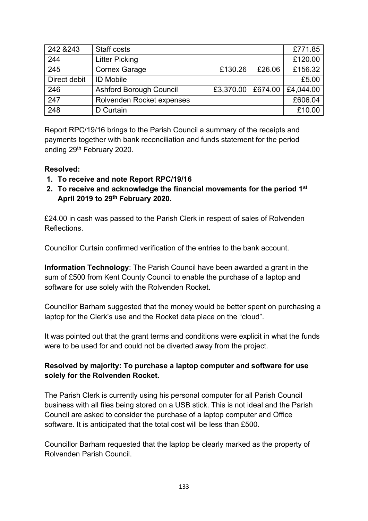| 242 & 243    | Staff costs                    |                     |        | £771.85   |
|--------------|--------------------------------|---------------------|--------|-----------|
| 244          | <b>Litter Picking</b>          |                     |        | £120.00   |
| 245          | <b>Cornex Garage</b>           | £130.26             | £26.06 | £156.32   |
| Direct debit | <b>ID Mobile</b>               |                     |        | £5.00     |
| 246          | <b>Ashford Borough Council</b> | £3,370.00   £674.00 |        | £4,044.00 |
| 247          | Rolvenden Rocket expenses      |                     |        | £606.04   |
| 248          | D Curtain                      |                     |        | £10.00    |

Report RPC/19/16 brings to the Parish Council a summary of the receipts and payments together with bank reconciliation and funds statement for the period ending 29th February 2020.

## **Resolved:**

- **1. To receive and note Report RPC/19/16**
- **2. To receive and acknowledge the financial movements for the period 1st April 2019 to 29th February 2020.**

£24.00 in cash was passed to the Parish Clerk in respect of sales of Rolvenden Reflections.

Councillor Curtain confirmed verification of the entries to the bank account.

**Information Technology**: The Parish Council have been awarded a grant in the sum of £500 from Kent County Council to enable the purchase of a laptop and software for use solely with the Rolvenden Rocket.

Councillor Barham suggested that the money would be better spent on purchasing a laptop for the Clerk's use and the Rocket data place on the "cloud".

It was pointed out that the grant terms and conditions were explicit in what the funds were to be used for and could not be diverted away from the project.

## **Resolved by majority: To purchase a laptop computer and software for use solely for the Rolvenden Rocket.**

The Parish Clerk is currently using his personal computer for all Parish Council business with all files being stored on a USB stick. This is not ideal and the Parish Council are asked to consider the purchase of a laptop computer and Office software. It is anticipated that the total cost will be less than £500.

Councillor Barham requested that the laptop be clearly marked as the property of Rolvenden Parish Council.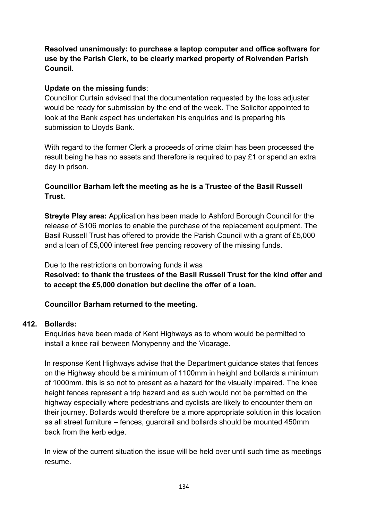## **Resolved unanimously: to purchase a laptop computer and office software for use by the Parish Clerk, to be clearly marked property of Rolvenden Parish Council.**

## **Update on the missing funds**:

Councillor Curtain advised that the documentation requested by the loss adjuster would be ready for submission by the end of the week. The Solicitor appointed to look at the Bank aspect has undertaken his enquiries and is preparing his submission to Lloyds Bank.

With regard to the former Clerk a proceeds of crime claim has been processed the result being he has no assets and therefore is required to pay £1 or spend an extra day in prison.

## **Councillor Barham left the meeting as he is a Trustee of the Basil Russell Trust.**

**Streyte Play area:** Application has been made to Ashford Borough Council for the release of S106 monies to enable the purchase of the replacement equipment. The Basil Russell Trust has offered to provide the Parish Council with a grant of £5,000 and a loan of £5,000 interest free pending recovery of the missing funds.

Due to the restrictions on borrowing funds it was **Resolved: to thank the trustees of the Basil Russell Trust for the kind offer and to accept the £5,000 donation but decline the offer of a loan.**

## **Councillor Barham returned to the meeting.**

## **412. Bollards:**

Enquiries have been made of Kent Highways as to whom would be permitted to install a knee rail between Monypenny and the Vicarage.

In response Kent Highways advise that the Department guidance states that fences on the Highway should be a minimum of 1100mm in height and bollards a minimum of 1000mm. this is so not to present as a hazard for the visually impaired. The knee height fences represent a trip hazard and as such would not be permitted on the highway especially where pedestrians and cyclists are likely to encounter them on their journey. Bollards would therefore be a more appropriate solution in this location as all street furniture – fences, guardrail and bollards should be mounted 450mm back from the kerb edge.

In view of the current situation the issue will be held over until such time as meetings resume.